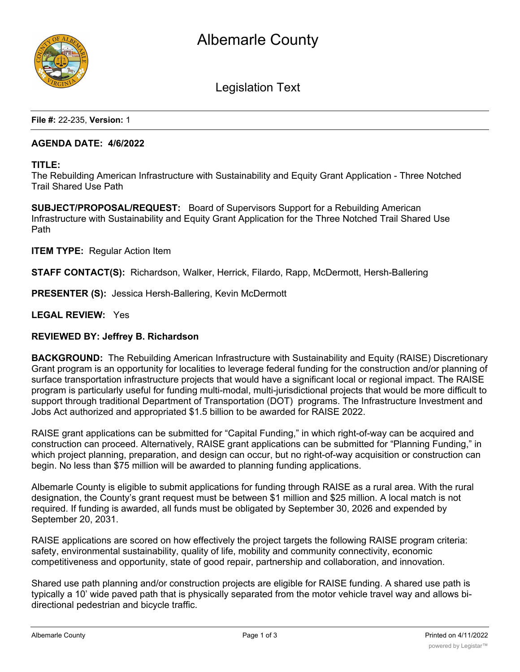

Legislation Text

**File #:** 22-235, **Version:** 1

#### **AGENDA DATE: 4/6/2022**

#### **TITLE:**

The Rebuilding American Infrastructure with Sustainability and Equity Grant Application - Three Notched Trail Shared Use Path

**SUBJECT/PROPOSAL/REQUEST:** Board of Supervisors Support for a Rebuilding American Infrastructure with Sustainability and Equity Grant Application for the Three Notched Trail Shared Use Path

**ITEM TYPE:** Regular Action Item

**STAFF CONTACT(S):** Richardson, Walker, Herrick, Filardo, Rapp, McDermott, Hersh-Ballering

**PRESENTER (S):** Jessica Hersh-Ballering, Kevin McDermott

**LEGAL REVIEW:** Yes

## **REVIEWED BY: Jeffrey B. Richardson**

**BACKGROUND:** The Rebuilding American Infrastructure with Sustainability and Equity (RAISE) Discretionary Grant program is an opportunity for localities to leverage federal funding for the construction and/or planning of surface transportation infrastructure projects that would have a significant local or regional impact. The RAISE program is particularly useful for funding multi-modal, multi-jurisdictional projects that would be more difficult to support through traditional Department of Transportation (DOT) programs. The Infrastructure Investment and Jobs Act authorized and appropriated \$1.5 billion to be awarded for RAISE 2022.

RAISE grant applications can be submitted for "Capital Funding," in which right-of-way can be acquired and construction can proceed. Alternatively, RAISE grant applications can be submitted for "Planning Funding," in which project planning, preparation, and design can occur, but no right-of-way acquisition or construction can begin. No less than \$75 million will be awarded to planning funding applications.

Albemarle County is eligible to submit applications for funding through RAISE as a rural area. With the rural designation, the County's grant request must be between \$1 million and \$25 million. A local match is not required. If funding is awarded, all funds must be obligated by September 30, 2026 and expended by September 20, 2031.

RAISE applications are scored on how effectively the project targets the following RAISE program criteria: safety, environmental sustainability, quality of life, mobility and community connectivity, economic competitiveness and opportunity, state of good repair, partnership and collaboration, and innovation.

Shared use path planning and/or construction projects are eligible for RAISE funding. A shared use path is typically a 10' wide paved path that is physically separated from the motor vehicle travel way and allows bidirectional pedestrian and bicycle traffic.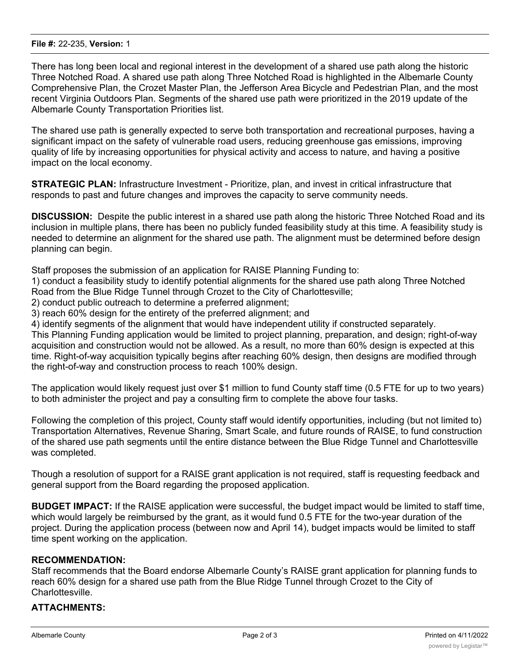#### **File #:** 22-235, **Version:** 1

There has long been local and regional interest in the development of a shared use path along the historic Three Notched Road. A shared use path along Three Notched Road is highlighted in the Albemarle County Comprehensive Plan, the Crozet Master Plan, the Jefferson Area Bicycle and Pedestrian Plan, and the most recent Virginia Outdoors Plan. Segments of the shared use path were prioritized in the 2019 update of the Albemarle County Transportation Priorities list.

The shared use path is generally expected to serve both transportation and recreational purposes, having a significant impact on the safety of vulnerable road users, reducing greenhouse gas emissions, improving quality of life by increasing opportunities for physical activity and access to nature, and having a positive impact on the local economy.

**STRATEGIC PLAN:** Infrastructure Investment - Prioritize, plan, and invest in critical infrastructure that responds to past and future changes and improves the capacity to serve community needs.

**DISCUSSION:** Despite the public interest in a shared use path along the historic Three Notched Road and its inclusion in multiple plans, there has been no publicly funded feasibility study at this time. A feasibility study is needed to determine an alignment for the shared use path. The alignment must be determined before design planning can begin.

Staff proposes the submission of an application for RAISE Planning Funding to:

1) conduct a feasibility study to identify potential alignments for the shared use path along Three Notched Road from the Blue Ridge Tunnel through Crozet to the City of Charlottesville;

2) conduct public outreach to determine a preferred alignment;

3) reach 60% design for the entirety of the preferred alignment; and

4) identify segments of the alignment that would have independent utility if constructed separately.

This Planning Funding application would be limited to project planning, preparation, and design; right-of-way acquisition and construction would not be allowed. As a result, no more than 60% design is expected at this time. Right-of-way acquisition typically begins after reaching 60% design, then designs are modified through the right-of-way and construction process to reach 100% design.

The application would likely request just over \$1 million to fund County staff time (0.5 FTE for up to two years) to both administer the project and pay a consulting firm to complete the above four tasks.

Following the completion of this project, County staff would identify opportunities, including (but not limited to) Transportation Alternatives, Revenue Sharing, Smart Scale, and future rounds of RAISE, to fund construction of the shared use path segments until the entire distance between the Blue Ridge Tunnel and Charlottesville was completed.

Though a resolution of support for a RAISE grant application is not required, staff is requesting feedback and general support from the Board regarding the proposed application.

**BUDGET IMPACT:** If the RAISE application were successful, the budget impact would be limited to staff time, which would largely be reimbursed by the grant, as it would fund 0.5 FTE for the two-year duration of the project. During the application process (between now and April 14), budget impacts would be limited to staff time spent working on the application.

# **RECOMMENDATION:**

Staff recommends that the Board endorse Albemarle County's RAISE grant application for planning funds to reach 60% design for a shared use path from the Blue Ridge Tunnel through Crozet to the City of Charlottesville.

## **ATTACHMENTS:**